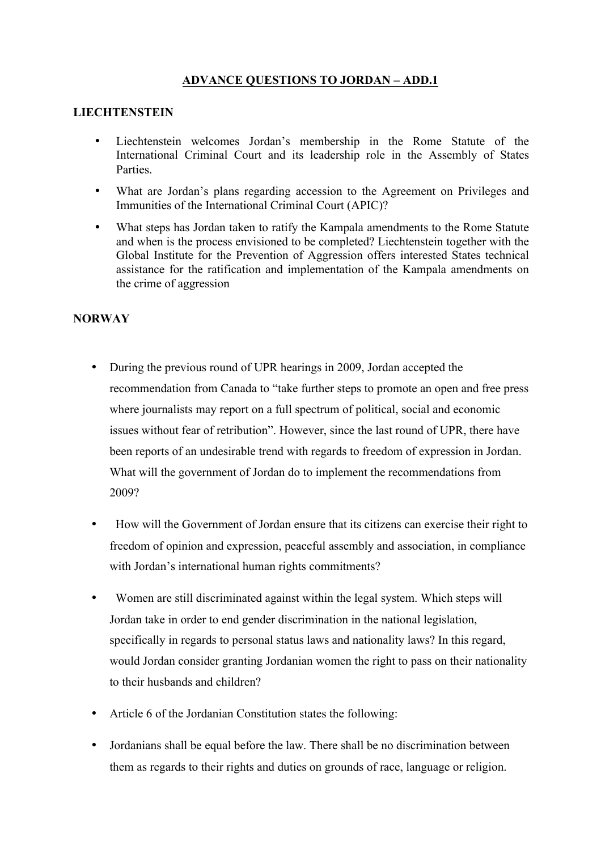## **ADVANCE QUESTIONS TO JORDAN – ADD.1**

## **LIECHTENSTEIN**

- Liechtenstein welcomes Jordan's membership in the Rome Statute of the International Criminal Court and its leadership role in the Assembly of States Parties.
- What are Jordan's plans regarding accession to the Agreement on Privileges and Immunities of the International Criminal Court (APIC)?
- What steps has Jordan taken to ratify the Kampala amendments to the Rome Statute and when is the process envisioned to be completed? Liechtenstein together with the Global Institute for the Prevention of Aggression offers interested States technical assistance for the ratification and implementation of the Kampala amendments on the crime of aggression

## **NORWAY**

- During the previous round of UPR hearings in 2009, Jordan accepted the recommendation from Canada to "take further steps to promote an open and free press where journalists may report on a full spectrum of political, social and economic issues without fear of retribution". However, since the last round of UPR, there have been reports of an undesirable trend with regards to freedom of expression in Jordan. What will the government of Jordan do to implement the recommendations from 2009?
- How will the Government of Jordan ensure that its citizens can exercise their right to freedom of opinion and expression, peaceful assembly and association, in compliance with Jordan's international human rights commitments?
- Women are still discriminated against within the legal system. Which steps will Jordan take in order to end gender discrimination in the national legislation, specifically in regards to personal status laws and nationality laws? In this regard, would Jordan consider granting Jordanian women the right to pass on their nationality to their husbands and children?
- Article 6 of the Jordanian Constitution states the following:
- Jordanians shall be equal before the law. There shall be no discrimination between them as regards to their rights and duties on grounds of race, language or religion.